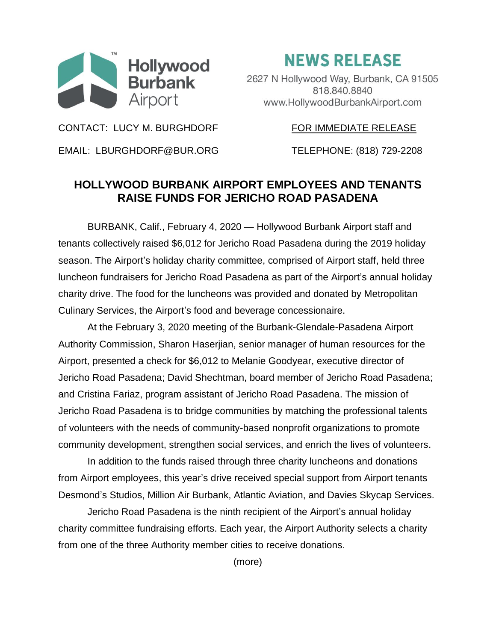

**NEWS RELEASE** 

2627 N Hollywood Way, Burbank, CA 91505 818.840.8840 www.HollywoodBurbankAirport.com

CONTACT: LUCY M. BURGHDORF FOR IMMEDIATE RELEASE

EMAIL: LBURGHDORF@BUR.ORG TELEPHONE: (818) 729-2208

## **HOLLYWOOD BURBANK AIRPORT EMPLOYEES AND TENANTS RAISE FUNDS FOR JERICHO ROAD PASADENA**

BURBANK, Calif., February 4, 2020 — Hollywood Burbank Airport staff and tenants collectively raised \$6,012 for Jericho Road Pasadena during the 2019 holiday season. The Airport's holiday charity committee, comprised of Airport staff, held three luncheon fundraisers for Jericho Road Pasadena as part of the Airport's annual holiday charity drive. The food for the luncheons was provided and donated by Metropolitan Culinary Services, the Airport's food and beverage concessionaire.

At the February 3, 2020 meeting of the Burbank-Glendale-Pasadena Airport Authority Commission, Sharon Haserjian, senior manager of human resources for the Airport, presented a check for \$6,012 to Melanie Goodyear, executive director of Jericho Road Pasadena; David Shechtman, board member of Jericho Road Pasadena; and Cristina Fariaz, program assistant of Jericho Road Pasadena. The mission of Jericho Road Pasadena is to bridge communities by matching the professional talents of volunteers with the needs of community-based nonprofit organizations to promote community development, strengthen social services, and enrich the lives of volunteers.

In addition to the funds raised through three charity luncheons and donations from Airport employees, this year's drive received special support from Airport tenants Desmond's Studios, Million Air Burbank, Atlantic Aviation, and Davies Skycap Services.

Jericho Road Pasadena is the ninth recipient of the Airport's annual holiday charity committee fundraising efforts. Each year, the Airport Authority selects a charity from one of the three Authority member cities to receive donations.

(more)